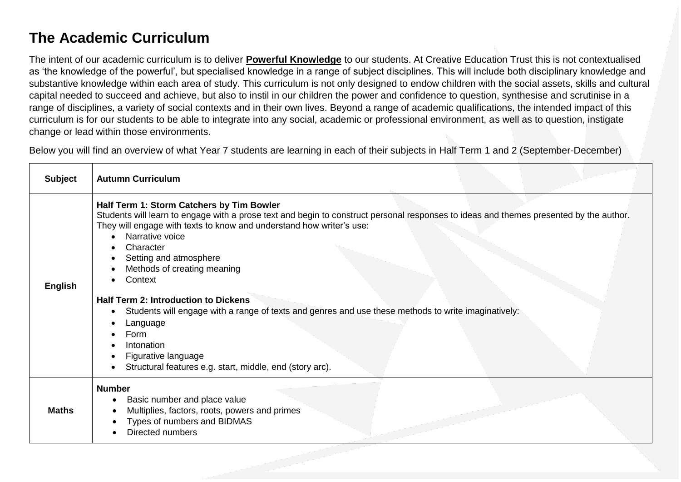## **The Academic Curriculum**

The intent of our academic curriculum is to deliver **Powerful Knowledge** to our students. At Creative Education Trust this is not contextualised as 'the knowledge of the powerful', but specialised knowledge in a range of subject disciplines. This will include both disciplinary knowledge and substantive knowledge within each area of study. This curriculum is not only designed to endow children with the social assets, skills and cultural capital needed to succeed and achieve, but also to instil in our children the power and confidence to question, synthesise and scrutinise in a range of disciplines, a variety of social contexts and in their own lives. Beyond a range of academic qualifications, the intended impact of this curriculum is for our students to be able to integrate into any social, academic or professional environment, as well as to question, instigate change or lead within those environments.

Below you will find an overview of what Year 7 students are learning in each of their subjects in Half Term 1 and 2 (September-December)

| <b>Subject</b> | <b>Autumn Curriculum</b>                                                                                                                                                                                                                                                                                                                                                                                                                                                                                                                                                                                                                   |
|----------------|--------------------------------------------------------------------------------------------------------------------------------------------------------------------------------------------------------------------------------------------------------------------------------------------------------------------------------------------------------------------------------------------------------------------------------------------------------------------------------------------------------------------------------------------------------------------------------------------------------------------------------------------|
| <b>English</b> | Half Term 1: Storm Catchers by Tim Bowler<br>Students will learn to engage with a prose text and begin to construct personal responses to ideas and themes presented by the author.<br>They will engage with texts to know and understand how writer's use:<br>Narrative voice<br>Character<br>Setting and atmosphere<br>Methods of creating meaning<br>Context<br><b>Half Term 2: Introduction to Dickens</b><br>Students will engage with a range of texts and genres and use these methods to write imaginatively:<br>Language<br>Form<br>Intonation<br>Figurative language<br>Structural features e.g. start, middle, end (story arc). |
| <b>Maths</b>   | <b>Number</b><br>Basic number and place value<br>$\bullet$<br>Multiplies, factors, roots, powers and primes<br>Types of numbers and BIDMAS<br>Directed numbers                                                                                                                                                                                                                                                                                                                                                                                                                                                                             |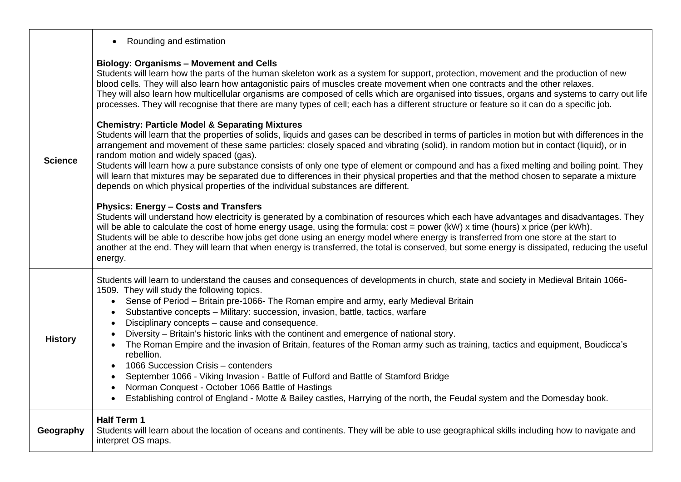|                | Rounding and estimation                                                                                                                                                                                                                                                                                                                                                                                                                                                                                                                                                                                                                                                                                                                                                                                                                                                                                                                                                                                                                                                                                                                                                                                                                                                                                                                                                                                                                                                                                                                                                                                                                                                                                                                  |
|----------------|------------------------------------------------------------------------------------------------------------------------------------------------------------------------------------------------------------------------------------------------------------------------------------------------------------------------------------------------------------------------------------------------------------------------------------------------------------------------------------------------------------------------------------------------------------------------------------------------------------------------------------------------------------------------------------------------------------------------------------------------------------------------------------------------------------------------------------------------------------------------------------------------------------------------------------------------------------------------------------------------------------------------------------------------------------------------------------------------------------------------------------------------------------------------------------------------------------------------------------------------------------------------------------------------------------------------------------------------------------------------------------------------------------------------------------------------------------------------------------------------------------------------------------------------------------------------------------------------------------------------------------------------------------------------------------------------------------------------------------------|
| <b>Science</b> | <b>Biology: Organisms - Movement and Cells</b><br>Students will learn how the parts of the human skeleton work as a system for support, protection, movement and the production of new<br>blood cells. They will also learn how antagonistic pairs of muscles create movement when one contracts and the other relaxes.<br>They will also learn how multicellular organisms are composed of cells which are organised into tissues, organs and systems to carry out life<br>processes. They will recognise that there are many types of cell; each has a different structure or feature so it can do a specific job.<br><b>Chemistry: Particle Model &amp; Separating Mixtures</b><br>Students will learn that the properties of solids, liquids and gases can be described in terms of particles in motion but with differences in the<br>arrangement and movement of these same particles: closely spaced and vibrating (solid), in random motion but in contact (liquid), or in<br>random motion and widely spaced (gas).<br>Students will learn how a pure substance consists of only one type of element or compound and has a fixed melting and boiling point. They<br>will learn that mixtures may be separated due to differences in their physical properties and that the method chosen to separate a mixture<br>depends on which physical properties of the individual substances are different.<br><b>Physics: Energy - Costs and Transfers</b><br>Students will understand how electricity is generated by a combination of resources which each have advantages and disadvantages. They<br>will be able to calculate the cost of home energy usage, using the formula: cost = power (kW) x time (hours) x price (per kWh). |
|                | Students will be able to describe how jobs get done using an energy model where energy is transferred from one store at the start to<br>another at the end. They will learn that when energy is transferred, the total is conserved, but some energy is dissipated, reducing the useful<br>energy.                                                                                                                                                                                                                                                                                                                                                                                                                                                                                                                                                                                                                                                                                                                                                                                                                                                                                                                                                                                                                                                                                                                                                                                                                                                                                                                                                                                                                                       |
| <b>History</b> | Students will learn to understand the causes and consequences of developments in church, state and society in Medieval Britain 1066-<br>1509. They will study the following topics.<br>Sense of Period - Britain pre-1066- The Roman empire and army, early Medieval Britain<br>$\bullet$<br>Substantive concepts - Military: succession, invasion, battle, tactics, warfare<br>Disciplinary concepts – cause and consequence.<br>Diversity - Britain's historic links with the continent and emergence of national story.<br>The Roman Empire and the invasion of Britain, features of the Roman army such as training, tactics and equipment, Boudicca's<br>rebellion.<br>1066 Succession Crisis - contenders<br>September 1066 - Viking Invasion - Battle of Fulford and Battle of Stamford Bridge<br>Norman Conquest - October 1066 Battle of Hastings<br>Establishing control of England - Motte & Bailey castles, Harrying of the north, the Feudal system and the Domesday book.                                                                                                                                                                                                                                                                                                                                                                                                                                                                                                                                                                                                                                                                                                                                                  |
| Geography      | <b>Half Term 1</b><br>Students will learn about the location of oceans and continents. They will be able to use geographical skills including how to navigate and<br>interpret OS maps.                                                                                                                                                                                                                                                                                                                                                                                                                                                                                                                                                                                                                                                                                                                                                                                                                                                                                                                                                                                                                                                                                                                                                                                                                                                                                                                                                                                                                                                                                                                                                  |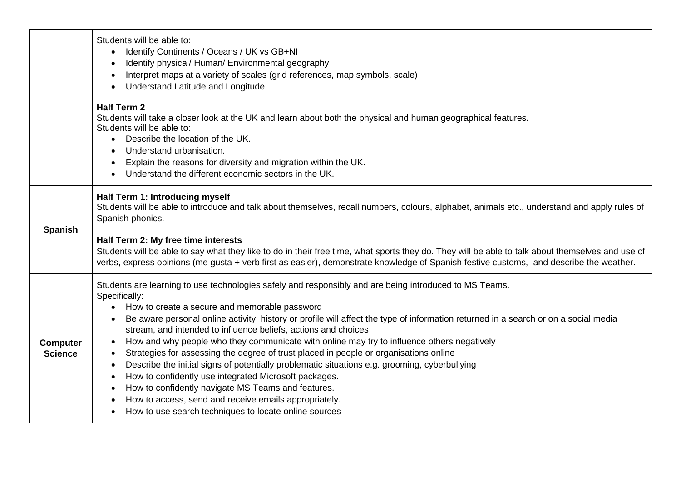|                                   | Students will be able to:<br>Identify Continents / Oceans / UK vs GB+NI<br>Identify physical/ Human/ Environmental geography<br>Interpret maps at a variety of scales (grid references, map symbols, scale)<br>Understand Latitude and Longitude<br><b>Half Term 2</b>                                                                                                                                                                                                                                                                                                                                                                                                                                                                                                                                                                                                                                     |
|-----------------------------------|------------------------------------------------------------------------------------------------------------------------------------------------------------------------------------------------------------------------------------------------------------------------------------------------------------------------------------------------------------------------------------------------------------------------------------------------------------------------------------------------------------------------------------------------------------------------------------------------------------------------------------------------------------------------------------------------------------------------------------------------------------------------------------------------------------------------------------------------------------------------------------------------------------|
|                                   | Students will take a closer look at the UK and learn about both the physical and human geographical features.<br>Students will be able to:<br>• Describe the location of the UK.<br>Understand urbanisation.<br>Explain the reasons for diversity and migration within the UK.<br>Understand the different economic sectors in the UK.                                                                                                                                                                                                                                                                                                                                                                                                                                                                                                                                                                     |
| <b>Spanish</b>                    | Half Term 1: Introducing myself<br>Students will be able to introduce and talk about themselves, recall numbers, colours, alphabet, animals etc., understand and apply rules of<br>Spanish phonics.                                                                                                                                                                                                                                                                                                                                                                                                                                                                                                                                                                                                                                                                                                        |
|                                   | Half Term 2: My free time interests<br>Students will be able to say what they like to do in their free time, what sports they do. They will be able to talk about themselves and use of<br>verbs, express opinions (me gusta + verb first as easier), demonstrate knowledge of Spanish festive customs, and describe the weather.                                                                                                                                                                                                                                                                                                                                                                                                                                                                                                                                                                          |
| <b>Computer</b><br><b>Science</b> | Students are learning to use technologies safely and responsibly and are being introduced to MS Teams.<br>Specifically:<br>How to create a secure and memorable password<br>Be aware personal online activity, history or profile will affect the type of information returned in a search or on a social media<br>stream, and intended to influence beliefs, actions and choices<br>How and why people who they communicate with online may try to influence others negatively<br>Strategies for assessing the degree of trust placed in people or organisations online<br>Describe the initial signs of potentially problematic situations e.g. grooming, cyberbullying<br>How to confidently use integrated Microsoft packages.<br>How to confidently navigate MS Teams and features.<br>How to access, send and receive emails appropriately.<br>How to use search techniques to locate online sources |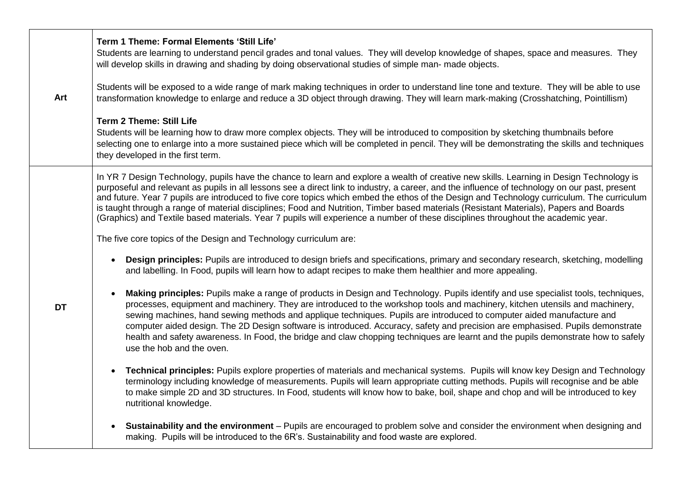|           | Term 1 Theme: Formal Elements 'Still Life'<br>Students are learning to understand pencil grades and tonal values. They will develop knowledge of shapes, space and measures. They<br>will develop skills in drawing and shading by doing observational studies of simple man- made objects.                                                                                                                                                                                                                                                                                                                                                                                                                             |
|-----------|-------------------------------------------------------------------------------------------------------------------------------------------------------------------------------------------------------------------------------------------------------------------------------------------------------------------------------------------------------------------------------------------------------------------------------------------------------------------------------------------------------------------------------------------------------------------------------------------------------------------------------------------------------------------------------------------------------------------------|
| Art       | Students will be exposed to a wide range of mark making techniques in order to understand line tone and texture. They will be able to use<br>transformation knowledge to enlarge and reduce a 3D object through drawing. They will learn mark-making (Crosshatching, Pointillism)                                                                                                                                                                                                                                                                                                                                                                                                                                       |
|           | <b>Term 2 Theme: Still Life</b><br>Students will be learning how to draw more complex objects. They will be introduced to composition by sketching thumbnails before<br>selecting one to enlarge into a more sustained piece which will be completed in pencil. They will be demonstrating the skills and techniques<br>they developed in the first term.                                                                                                                                                                                                                                                                                                                                                               |
|           | In YR 7 Design Technology, pupils have the chance to learn and explore a wealth of creative new skills. Learning in Design Technology is<br>purposeful and relevant as pupils in all lessons see a direct link to industry, a career, and the influence of technology on our past, present<br>and future. Year 7 pupils are introduced to five core topics which embed the ethos of the Design and Technology curriculum. The curriculum<br>is taught through a range of material disciplines; Food and Nutrition, Timber based materials (Resistant Materials), Papers and Boards<br>(Graphics) and Textile based materials. Year 7 pupils will experience a number of these disciplines throughout the academic year. |
|           | The five core topics of the Design and Technology curriculum are:                                                                                                                                                                                                                                                                                                                                                                                                                                                                                                                                                                                                                                                       |
|           | Design principles: Pupils are introduced to design briefs and specifications, primary and secondary research, sketching, modelling<br>$\bullet$<br>and labelling. In Food, pupils will learn how to adapt recipes to make them healthier and more appealing.                                                                                                                                                                                                                                                                                                                                                                                                                                                            |
| <b>DT</b> | Making principles: Pupils make a range of products in Design and Technology. Pupils identify and use specialist tools, techniques,<br>processes, equipment and machinery. They are introduced to the workshop tools and machinery, kitchen utensils and machinery,<br>sewing machines, hand sewing methods and applique techniques. Pupils are introduced to computer aided manufacture and<br>computer aided design. The 2D Design software is introduced. Accuracy, safety and precision are emphasised. Pupils demonstrate<br>health and safety awareness. In Food, the bridge and claw chopping techniques are learnt and the pupils demonstrate how to safely<br>use the hob and the oven.                         |
|           | Technical principles: Pupils explore properties of materials and mechanical systems. Pupils will know key Design and Technology<br>$\bullet$<br>terminology including knowledge of measurements. Pupils will learn appropriate cutting methods. Pupils will recognise and be able<br>to make simple 2D and 3D structures. In Food, students will know how to bake, boil, shape and chop and will be introduced to key<br>nutritional knowledge.                                                                                                                                                                                                                                                                         |
|           | Sustainability and the environment - Pupils are encouraged to problem solve and consider the environment when designing and<br>$\bullet$<br>making. Pupils will be introduced to the 6R's. Sustainability and food waste are explored.                                                                                                                                                                                                                                                                                                                                                                                                                                                                                  |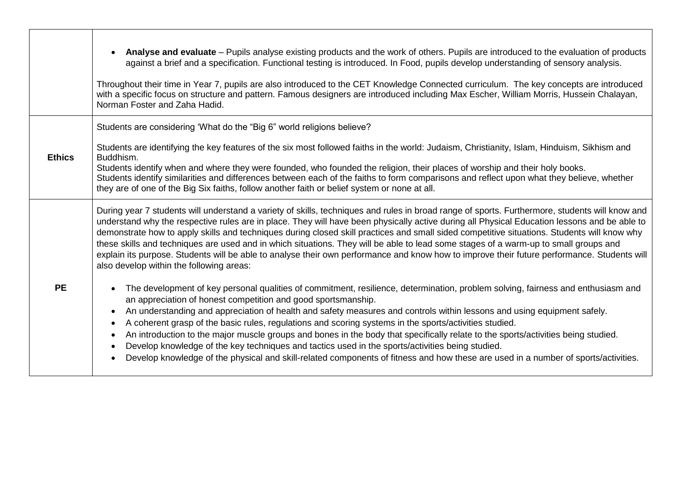|               | Analyse and evaluate – Pupils analyse existing products and the work of others. Pupils are introduced to the evaluation of products<br>against a brief and a specification. Functional testing is introduced. In Food, pupils develop understanding of sensory analysis.<br>Throughout their time in Year 7, pupils are also introduced to the CET Knowledge Connected curriculum. The key concepts are introduced<br>with a specific focus on structure and pattern. Famous designers are introduced including Max Escher, William Morris, Hussein Chalayan,<br>Norman Foster and Zaha Hadid.                                                                                                                                                                                                                        |
|---------------|-----------------------------------------------------------------------------------------------------------------------------------------------------------------------------------------------------------------------------------------------------------------------------------------------------------------------------------------------------------------------------------------------------------------------------------------------------------------------------------------------------------------------------------------------------------------------------------------------------------------------------------------------------------------------------------------------------------------------------------------------------------------------------------------------------------------------|
| <b>Ethics</b> | Students are considering 'What do the "Big 6" world religions believe?<br>Students are identifying the key features of the six most followed faiths in the world: Judaism, Christianity, Islam, Hinduism, Sikhism and<br>Buddhism.<br>Students identify when and where they were founded, who founded the religion, their places of worship and their holy books.<br>Students identify similarities and differences between each of the faiths to form comparisons and reflect upon what they believe, whether<br>they are of one of the Big Six faiths, follow another faith or belief system or none at all.                                                                                                                                                                                                        |
|               | During year 7 students will understand a variety of skills, techniques and rules in broad range of sports. Furthermore, students will know and<br>understand why the respective rules are in place. They will have been physically active during all Physical Education lessons and be able to<br>demonstrate how to apply skills and techniques during closed skill practices and small sided competitive situations. Students will know why<br>these skills and techniques are used and in which situations. They will be able to lead some stages of a warm-up to small groups and<br>explain its purpose. Students will be able to analyse their own performance and know how to improve their future performance. Students will<br>also develop within the following areas:                                      |
| <b>PE</b>     | The development of key personal qualities of commitment, resilience, determination, problem solving, fairness and enthusiasm and<br>an appreciation of honest competition and good sportsmanship.<br>An understanding and appreciation of health and safety measures and controls within lessons and using equipment safely.<br>A coherent grasp of the basic rules, regulations and scoring systems in the sports/activities studied.<br>An introduction to the major muscle groups and bones in the body that specifically relate to the sports/activities being studied.<br>Develop knowledge of the key techniques and tactics used in the sports/activities being studied.<br>Develop knowledge of the physical and skill-related components of fitness and how these are used in a number of sports/activities. |

 $\blacksquare$